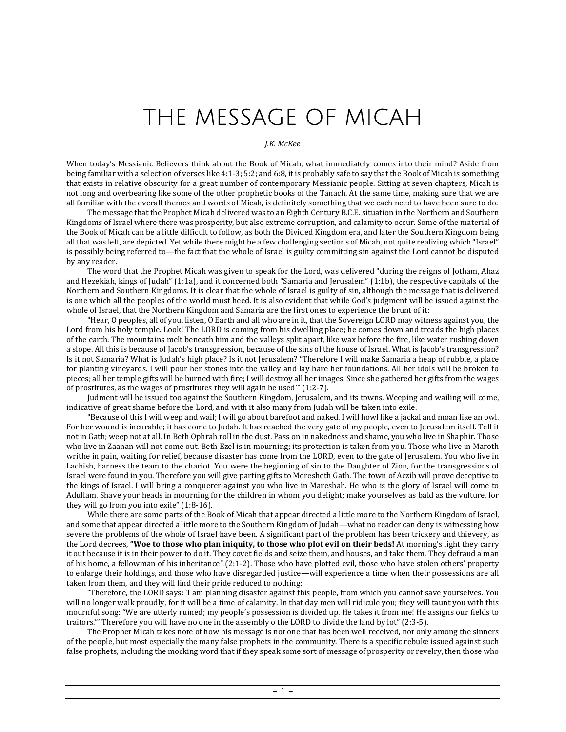## THE MESSAGE OF MICAH

## *J.K. McKee*

When today's Messianic Believers think about the Book of Micah, what immediately comes into their mind? Aside from being familiar with a selection of verses like 4:1-3; 5:2; and 6:8, it is probably safe to say that the Book of Micah is something that exists in relative obscurity for a great number of contemporary Messianic people. Sitting at seven chapters, Micah is not long and overbearing like some of the other prophetic books of the Tanach. At the same time, making sure that we are all familiar with the overall themes and words of Micah, is definitely something that we each need to have been sure to do.

The message that the Prophet Micah delivered was to an Eighth Century B.C.E. situation in the Northern and Southern Kingdoms of Israel where there was prosperity, but also extreme corruption, and calamity to occur. Some of the material of the Book of Micah can be a little difficult to follow, as both the Divided Kingdom era, and later the Southern Kingdom being all that was left, are depicted. Yet while there might be a few challenging sections of Micah, not quite realizing which "Israel" is possibly being referred to—the fact that the whole of Israel is guilty committing sin against the Lord cannot be disputed by any reader.

The word that the Prophet Micah was given to speak for the Lord, was delivered "during the reigns of Jotham, Ahaz and Hezekiah, kings of Judah" (1:1a), and it concerned both "Samaria and Jerusalem" (1:1b), the respective capitals of the Northern and Southern Kingdoms. It is clear that the whole of Israel is guilty of sin, although the message that is delivered is one which all the peoples of the world must heed. It is also evident that while God's judgment will be issued against the whole of Israel, that the Northern Kingdom and Samaria are the first ones to experience the brunt of it:

"Hear, O peoples, all of you, listen, O Earth and all who are in it, that the Sovereign LORD may witness against you, the Lord from his holy temple. Look! The LORD is coming from his dwelling place; he comes down and treads the high places of the earth. The mountains melt beneath him and the valleys split apart, like wax before the fire, like water rushing down a slope. All this is because of Jacob's transgression, because of the sins of the house of Israel. What is Jacob's transgression? Is it not Samaria? What is Judah's high place? Is it not Jerusalem? "Therefore I will make Samaria a heap of rubble, a place for planting vineyards. I will pour her stones into the valley and lay bare her foundations. All her idols will be broken to pieces; all her temple gifts will be burned with fire; I will destroy all her images. Since she gathered her gifts from the wages of prostitutes, as the wages of prostitutes they will again be used'" (1:2-7).

Judment will be issued too against the Southern Kingdom, Jerusalem, and its towns. Weeping and wailing will come, indicative of great shame before the Lord, and with it also many from Judah will be taken into exile.

"Because of this I will weep and wail; I will go about barefoot and naked. I will howl like a jackal and moan like an owl. For her wound is incurable; it has come to Judah. It has reached the very gate of my people, even to Jerusalem itself. Tell it not in Gath; weep not at all. In Beth Ophrah roll in the dust. Pass on in nakedness and shame, you who live in Shaphir. Those who live in Zaanan will not come out. Beth Ezel is in mourning; its protection is taken from you. Those who live in Maroth writhe in pain, waiting for relief, because disaster has come from the LORD, even to the gate of Jerusalem. You who live in Lachish, harness the team to the chariot. You were the beginning of sin to the Daughter of Zion, for the transgressions of Israel were found in you. Therefore you will give parting gifts to Moresheth Gath. The town of Aczib will prove deceptive to the kings of Israel. I will bring a conquerer against you who live in Mareshah. He who is the glory of Israel will come to Adullam. Shave your heads in mourning for the children in whom you delight; make yourselves as bald as the vulture, for they will go from you into exile" (1:8-16).

While there are some parts of the Book of Micah that appear directed a little more to the Northern Kingdom of Israel, and some that appear directed a little more to the Southern Kingdom of Judah—what no reader can deny is witnessing how severe the problems of the whole of Israel have been. A significant part of the problem has been trickery and thievery, as the Lord decrees, **"Woe to those who plan iniquity, to those who plot evil on their beds!** At morning's light they carry it out because it is in their power to do it. They covet fields and seize them, and houses, and take them. They defraud a man of his home, a fellowman of his inheritance" (2:1-2). Those who have plotted evil, those who have stolen others' property to enlarge their holdings, and those who have disregarded justice—will experience a time when their possessions are all taken from them, and they will find their pride reduced to nothing:

"Therefore, the LORD says: 'I am planning disaster against this people, from which you cannot save yourselves. You will no longer walk proudly, for it will be a time of calamity. In that day men will ridicule you; they will taunt you with this mournful song: "We are utterly ruined; my people's possession is divided up. He takes it from me! He assigns our fields to traitors."' Therefore you will have no one in the assembly o the LORD to divide the land by lot" (2:3-5).

The Prophet Micah takes note of how his message is not one that has been well received, not only among the sinners of the people, but most especially the many false prophets in the community. There is a specific rebuke issued against such false prophets, including the mocking word that if they speak some sort of message of prosperity or revelry, then those who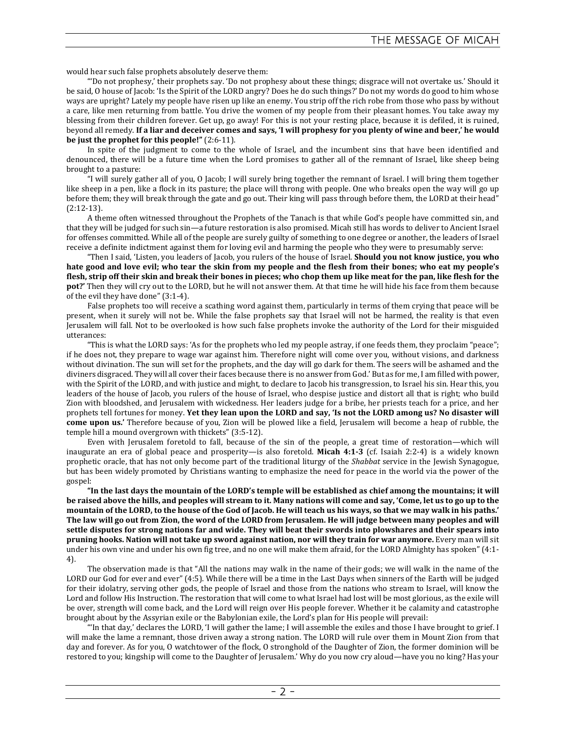would hear such false prophets absolutely deserve them:

"'Do not prophesy,' their prophets say. 'Do not prophesy about these things; disgrace will not overtake us.' Should it be said, O house of Jacob: 'Is the Spirit of the LORD angry? Does he do such things?' Do not my words do good to him whose ways are upright? Lately my people have risen up like an enemy. You strip off the rich robe from those who pass by without a care, like men returning from battle. You drive the women of my people from their pleasant homes. You take away my blessing from their children forever. Get up, go away! For this is not your resting place, because it is defiled, it is ruined, beyond all remedy. **If a liar and deceiver comes and says, 'I will prophesy for you plenty of wine and beer,' he would be just the prophet for this people!"** (2:6-11).

In spite of the judgment to come to the whole of Israel, and the incumbent sins that have been identified and denounced, there will be a future time when the Lord promises to gather all of the remnant of Israel, like sheep being brought to a pasture:

"I will surely gather all of you, O Jacob; I will surely bring together the remnant of Israel. I will bring them together like sheep in a pen, like a flock in its pasture; the place will throng with people. One who breaks open the way will go up before them; they will break through the gate and go out. Their king will pass through before them, the LORD at their head" (2:12-13).

A theme often witnessed throughout the Prophets of the Tanach is that while God's people have committed sin, and that they will be judged for such sin—a future restoration is also promised. Micah still has words to deliver to Ancient Israel for offenses committed. While all of the people are surely guilty of something to one degree or another, the leaders of Israel receive a definite indictment against them for loving evil and harming the people who they were to presumably serve:

"Then I said, 'Listen, you leaders of Jacob, you rulers of the house of Israel. **Should you not know justice, you who hate good and love evil; who tear the skin from my people and the flesh from their bones; who eat my people's flesh, strip off their skin and break their bones in pieces; who chop them up like meat for the pan, like flesh for the pot?'** Then they will cry out to the LORD, but he will not answer them. At that time he will hide his face from them because of the evil they have done" (3:1-4).

False prophets too will receive a scathing word against them, particularly in terms of them crying that peace will be present, when it surely will not be. While the false prophets say that Israel will not be harmed, the reality is that even Jerusalem will fall. Not to be overlooked is how such false prophets invoke the authority of the Lord for their misguided utterances:

"This is what the LORD says: 'As for the prophets who led my people astray, if one feeds them, they proclaim "peace"; if he does not, they prepare to wage war against him. Therefore night will come over you, without visions, and darkness without divination. The sun will set for the prophets, and the day will go dark for them. The seers will be ashamed and the diviners disgraced. They will all cover their faces because there is no answer from God.' But as for me, I am filled with power, with the Spirit of the LORD, and with justice and might, to declare to Jacob his transgression, to Israel his sin. Hear this, you leaders of the house of Jacob, you rulers of the house of Israel, who despise justice and distort all that is right; who build Zion with bloodshed, and Jerusalem with wickedness. Her leaders judge for a bribe, her priests teach for a price, and her prophets tell fortunes for money. **Yet they lean upon the LORD and say, 'Is not the LORD among us? No disaster will come upon us.'** Therefore because of you, Zion will be plowed like a field, Jerusalem will become a heap of rubble, the temple hill a mound overgrown with thickets" (3:5-12).

Even with Jerusalem foretold to fall, because of the sin of the people, a great time of restoration—which will inaugurate an era of global peace and prosperity—is also foretold. **Micah 4:1-3** (cf. Isaiah 2:2-4) is a widely known prophetic oracle, that has not only become part of the traditional liturgy of the *Shabbat* service in the Jewish Synagogue, but has been widely promoted by Christians wanting to emphasize the need for peace in the world via the power of the gospel:

**"In the last days the mountain of the LORD's temple will be established as chief among the mountains; it will be raised above the hills, and peoples will stream to it. Many nations will come and say, 'Come, let us to go up to the mountain of the LORD, to the house of the God of Jacob. He will teach us his ways, so that we may walk in his paths.' The law will go out from Zion, the word of the LORD from Jerusalem. He will judge between many peoples and will settle disputes for strong nations far and wide. They will beat their swords into plowshares and their spears into pruning hooks. Nation will not take up sword against nation, nor will they train for war anymore.** Every man will sit under his own vine and under his own fig tree, and no one will make them afraid, for the LORD Almighty has spoken" (4:1- 4).

The observation made is that "All the nations may walk in the name of their gods; we will walk in the name of the LORD our God for ever and ever" (4:5). While there will be a time in the Last Days when sinners of the Earth will be judged for their idolatry, serving other gods, the people of Israel and those from the nations who stream to Israel, will know the Lord and follow His Instruction. The restoration that will come to what Israel had lost will be most glorious, as the exile will be over, strength will come back, and the Lord will reign over His people forever. Whether it be calamity and catastrophe brought about by the Assyrian exile or the Babylonian exile, the Lord's plan for His people will prevail:

"'In that day,' declares the LORD, 'I will gather the lame; I will assemble the exiles and those I have brought to grief. I will make the lame a remnant, those driven away a strong nation. The LORD will rule over them in Mount Zion from that day and forever. As for you, O watchtower of the flock, O stronghold of the Daughter of Zion, the former dominion will be restored to you; kingship will come to the Daughter of Jerusalem.' Why do you now cry aloud—have you no king? Has your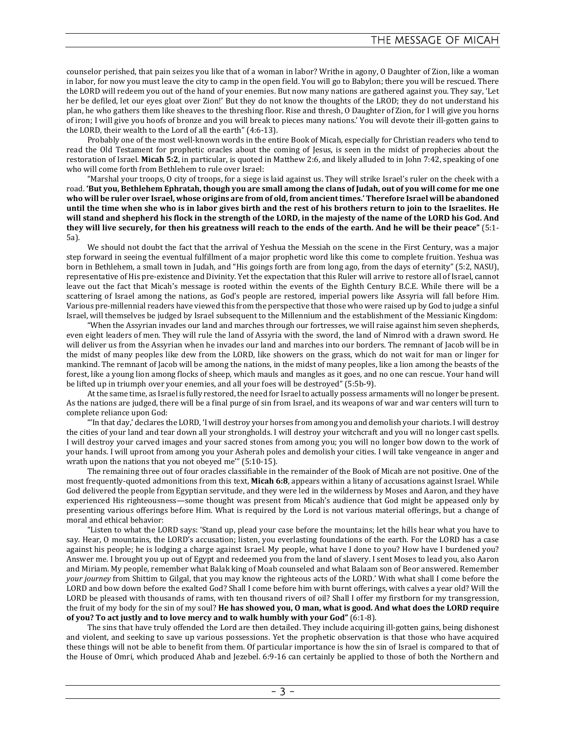counselor perished, that pain seizes you like that of a woman in labor? Writhe in agony, O Daughter of Zion, like a woman in labor, for now you must leave the city to camp in the open field. You will go to Babylon; there you will be rescued. There the LORD will redeem you out of the hand of your enemies. But now many nations are gathered against you. They say, 'Let her be defiled, let our eyes gloat over Zion!' But they do not know the thoughts of the LROD; they do not understand his plan, he who gathers them like sheaves to the threshing floor. Rise and thresh, O Daughter of Zion, for I will give you horns of iron; I will give you hoofs of bronze and you will break to pieces many nations.' You will devote their ill-gotten gains to the LORD, their wealth to the Lord of all the earth" (4:6-13).

Probably one of the most well-known words in the entire Book of Micah, especially for Christian readers who tend to read the Old Testament for prophetic oracles about the coming of Jesus, is seen in the midst of prophecies about the restoration of Israel. **Micah 5:2**, in particular, is quoted in Matthew 2:6, and likely alluded to in John 7:42, speaking of one who will come forth from Bethlehem to rule over Israel:

"Marshal your troops, O city of troops, for a siege is laid against us. They will strike Israel's ruler on the cheek with a road. **'But you, Bethlehem Ephratah, though you are small among the clans of Judah, out of you will come for me one who will be ruler over Israel, whose origins are from of old, from ancient times.' Therefore Israel will be abandoned until the time when she who is in labor gives birth and the rest of his brothers return to join to the Israelites. He will stand and shepherd his flock in the strength of the LORD, in the majesty of the name of the LORD his God. And they will live securely, for then his greatness will reach to the ends of the earth. And he will be their peace"** (5:1- 5a).

We should not doubt the fact that the arrival of Yeshua the Messiah on the scene in the First Century, was a major step forward in seeing the eventual fulfillment of a major prophetic word like this come to complete fruition. Yeshua was born in Bethlehem, a small town in Judah, and "His goings forth are from long ago, from the days of eternity" (5:2, NASU), representative of His pre-existence and Divinity. Yet the expectation that this Ruler will arrive to restore all of Israel, cannot leave out the fact that Micah's message is rooted within the events of the Eighth Century B.C.E. While there will be a scattering of Israel among the nations, as God's people are restored, imperial powers like Assyria will fall before Him. Various pre-millennial readers have viewed this from the perspective that those who were raised up by God to judge a sinful Israel, will themselves be judged by Israel subsequent to the Millennium and the establishment of the Messianic Kingdom:

"When the Assyrian invades our land and marches through our fortresses, we will raise against him seven shepherds, even eight leaders of men. They will rule the land of Assyria with the sword, the land of Nimrod with a drawn sword. He will deliver us from the Assyrian when he invades our land and marches into our borders. The remnant of Jacob will be in the midst of many peoples like dew from the LORD, like showers on the grass, which do not wait for man or linger for mankind. The remnant of Jacob will be among the nations, in the midst of many peoples, like a lion among the beasts of the forest, like a young lion among flocks of sheep, which mauls and mangles as it goes, and no one can rescue. Your hand will be lifted up in triumph over your enemies, and all your foes will be destroyed" (5:5b-9).

At the same time, as Israel is fully restored, the need for Israel to actually possess armaments will no longer be present. As the nations are judged, there will be a final purge of sin from Israel, and its weapons of war and war centers will turn to complete reliance upon God:

"'In that day,' declares the LORD, 'I will destroy your horses from among you and demolish your chariots. I will destroy the cities of your land and tear down all your strongholds. I will destroy your witchcraft and you will no longer cast spells. I will destroy your carved images and your sacred stones from among you; you will no longer bow down to the work of your hands. I will uproot from among you your Asherah poles and demolish your cities. I will take vengeance in anger and wrath upon the nations that you not obeyed me'" (5:10-15).

The remaining three out of four oracles classifiable in the remainder of the Book of Micah are not positive. One of the most frequently-quoted admonitions from this text, **Micah 6:8**, appears within a litany of accusations against Israel. While God delivered the people from Egyptian servitude, and they were led in the wilderness by Moses and Aaron, and they have experienced His righteousness—some thought was present from Micah's audience that God might be appeased only by presenting various offerings before Him. What is required by the Lord is not various material offerings, but a change of moral and ethical behavior:

"Listen to what the LORD says: 'Stand up, plead your case before the mountains; let the hills hear what you have to say. Hear, O mountains, the LORD's accusation; listen, you everlasting foundations of the earth. For the LORD has a case against his people; he is lodging a charge against Israel. My people, what have I done to you? How have I burdened you? Answer me. I brought you up out of Egypt and redeemed you from the land of slavery. I sent Moses to lead you, also Aaron and Miriam. My people, remember what Balak king of Moab counseled and what Balaam son of Beor answered. Remember *your journey* from Shittim to Gilgal, that you may know the righteous acts of the LORD.' With what shall I come before the LORD and bow down before the exalted God? Shall I come before him with burnt offerings, with calves a year old? Will the LORD be pleased with thousands of rams, with ten thousand rivers of oil? Shall I offer my firstborn for my transgression, the fruit of my body for the sin of my soul? **He has showed you, O man, what is good. And what does the LORD require of you? To act justly and to love mercy and to walk humbly with your God"** (6:1-8).

The sins that have truly offended the Lord are then detailed. They include acquiring ill-gotten gains, being dishonest and violent, and seeking to save up various possessions. Yet the prophetic observation is that those who have acquired these things will not be able to benefit from them. Of particular importance is how the sin of Israel is compared to that of the House of Omri, which produced Ahab and Jezebel. 6:9-16 can certainly be applied to those of both the Northern and